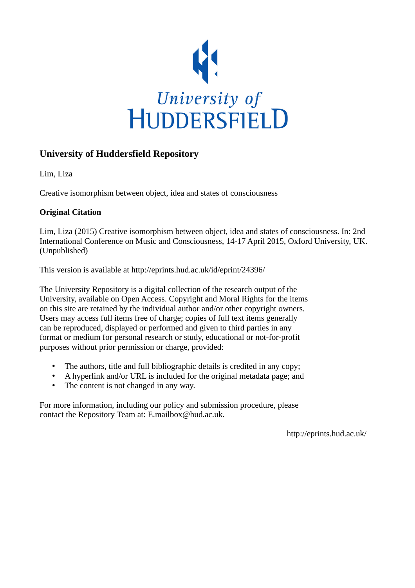

## **University of Huddersfield Repository**

Lim, Liza

Creative isomorphism between object, idea and states of consciousness

## **Original Citation**

Lim, Liza (2015) Creative isomorphism between object, idea and states of consciousness. In: 2nd International Conference on Music and Consciousness, 14-17 April 2015, Oxford University, UK. (Unpublished)

This version is available at http://eprints.hud.ac.uk/id/eprint/24396/

The University Repository is a digital collection of the research output of the University, available on Open Access. Copyright and Moral Rights for the items on this site are retained by the individual author and/or other copyright owners. Users may access full items free of charge; copies of full text items generally can be reproduced, displayed or performed and given to third parties in any format or medium for personal research or study, educational or not-for-profit purposes without prior permission or charge, provided:

- The authors, title and full bibliographic details is credited in any copy;
- A hyperlink and/or URL is included for the original metadata page; and
- The content is not changed in any way.

For more information, including our policy and submission procedure, please contact the Repository Team at: E.mailbox@hud.ac.uk.

http://eprints.hud.ac.uk/